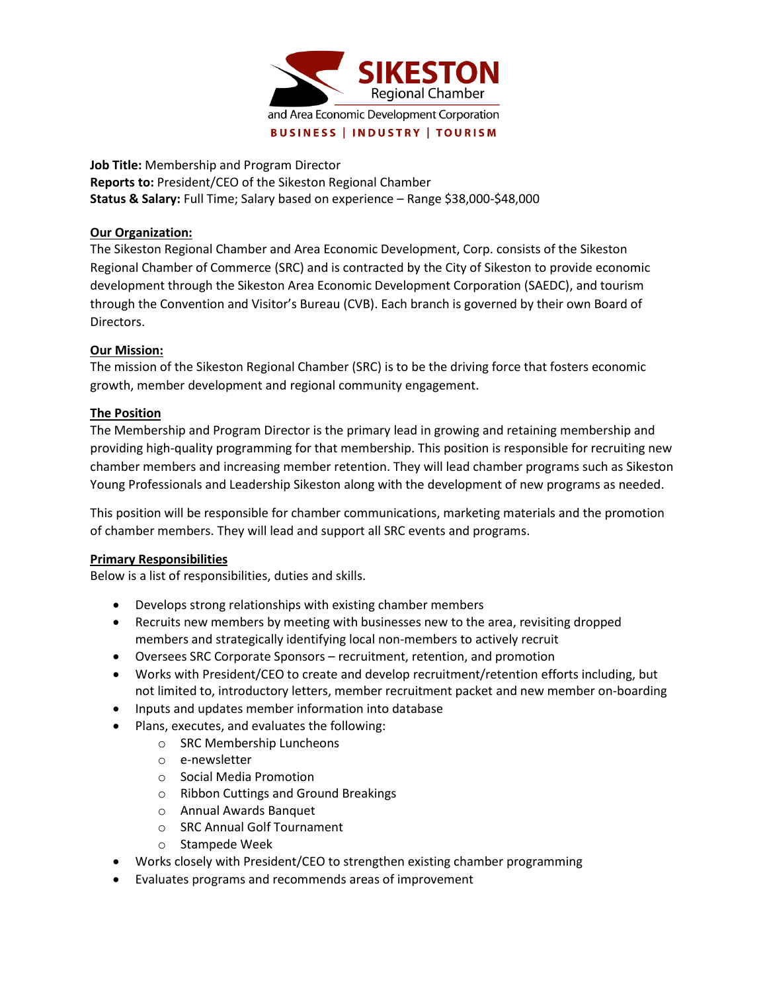

**Job Title:** Membership and Program Director **Reports to:** President/CEO of the Sikeston Regional Chamber **Status & Salary:** Full Time; Salary based on experience – Range \$38,000-\$48,000

### **Our Organization:**

The Sikeston Regional Chamber and Area Economic Development, Corp. consists of the Sikeston Regional Chamber of Commerce (SRC) and is contracted by the City of Sikeston to provide economic development through the Sikeston Area Economic Development Corporation (SAEDC), and tourism through the Convention and Visitor's Bureau (CVB). Each branch is governed by their own Board of Directors.

# **Our Mission:**

The mission of the Sikeston Regional Chamber (SRC) is to be the driving force that fosters economic growth, member development and regional community engagement.

## **The Position**

The Membership and Program Director is the primary lead in growing and retaining membership and providing high-quality programming for that membership. This position is responsible for recruiting new chamber members and increasing member retention. They will lead chamber programs such as Sikeston Young Professionals and Leadership Sikeston along with the development of new programs as needed.

This position will be responsible for chamber communications, marketing materials and the promotion of chamber members. They will lead and support all SRC events and programs.

#### **Primary Responsibilities**

Below is a list of responsibilities, duties and skills.

- Develops strong relationships with existing chamber members
- Recruits new members by meeting with businesses new to the area, revisiting dropped members and strategically identifying local non-members to actively recruit
- Oversees SRC Corporate Sponsors recruitment, retention, and promotion
- Works with President/CEO to create and develop recruitment/retention efforts including, but not limited to, introductory letters, member recruitment packet and new member on-boarding
- Inputs and updates member information into database
- Plans, executes, and evaluates the following:
	- o SRC Membership Luncheons
	- o e-newsletter
	- o Social Media Promotion
	- o Ribbon Cuttings and Ground Breakings
	- o Annual Awards Banquet
	- o SRC Annual Golf Tournament
	- o Stampede Week
- Works closely with President/CEO to strengthen existing chamber programming
- Evaluates programs and recommends areas of improvement